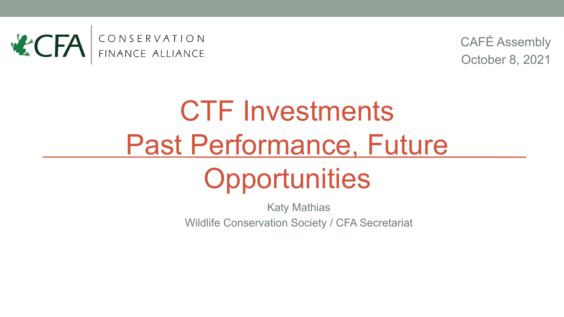

CAFÉ Assembly October 8, 2021

## CTF Investments Past Performance, Future **Opportunities**

Katy Mathias Wildlife Conservation Society / CFA Secretariat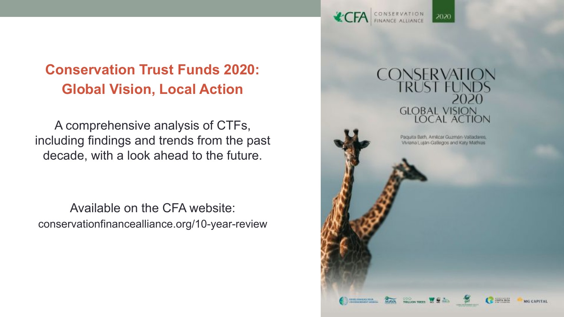#### **Conservation Trust Funds 2020: Global Vision, Local Action**

A comprehensive analysis of CTFs, including findings and trends from the past decade, with a look ahead to the future.

Available on the CFA website: conservationfinancealliance.org/10-year-review

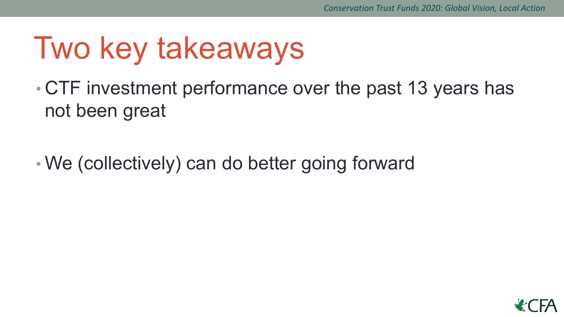## Two key takeaways

• CTF investment performance over the past 13 years has not been great

• We (collectively) can do better going forward

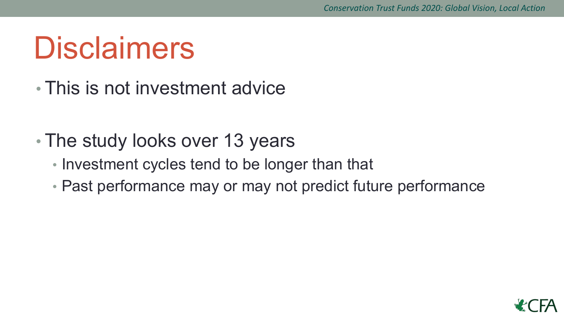## **Disclaimers**

- This is not investment advice
- The study looks over 13 years
	- Investment cycles tend to be longer than that
	- Past performance may or may not predict future performance

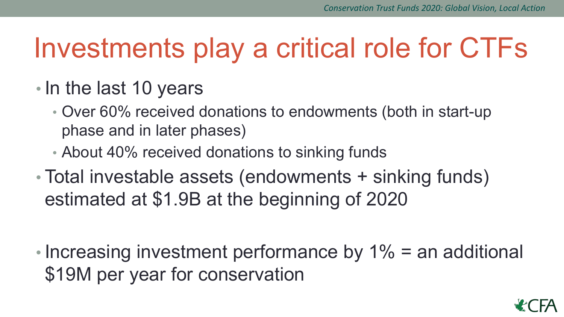## Investments play a critical role for CTFs

- In the last 10 years
	- Over 60% received donations to endowments (both in start-up phase and in later phases)
	- About 40% received donations to sinking funds
- Total investable assets (endowments + sinking funds) estimated at \$1.9B at the beginning of 2020
- Increasing investment performance by 1% = an additional \$19M per year for conservation

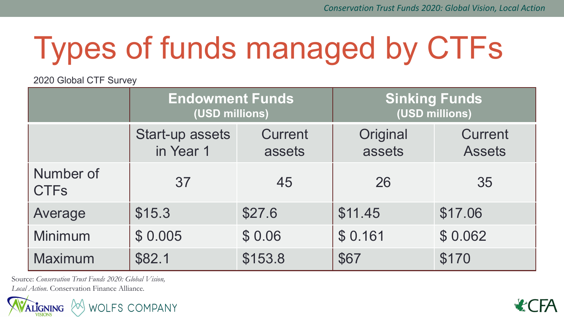# Types of funds managed by CTFs

#### 2020 Global CTF Survey

|                          | <b>Endowment Funds</b><br>(USD millions) |                          | <b>Sinking Funds</b><br>(USD millions) |                                 |
|--------------------------|------------------------------------------|--------------------------|----------------------------------------|---------------------------------|
|                          | Start-up assets<br>in Year 1             | <b>Current</b><br>assets | Original<br>assets                     | <b>Current</b><br><b>Assets</b> |
| Number of<br><b>CTFs</b> | 37                                       | 45                       | 26                                     | 35                              |
| Average                  | \$15.3                                   | \$27.6                   | \$11.45                                | \$17.06                         |
| Minimum                  | \$0.005                                  | \$0.06                   | \$0.161                                | \$0.062                         |
| Maximum                  | \$82.1                                   | \$153.8                  | \$67                                   | \$170                           |

Source: *Conservation Trust Funds 2020: Global Vision, Local Action*. Conservation Finance Alliance.



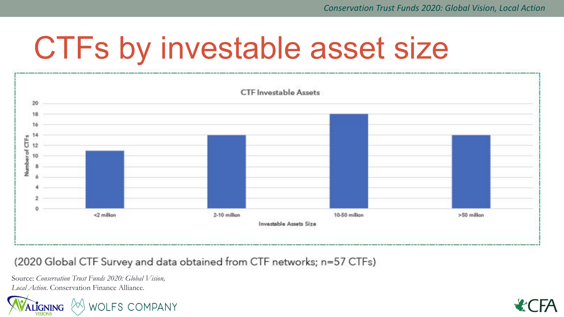## CTFs by investable asset size



(2020 Global CTF Survey and data obtained from CTF networks; n=57 CTFs)

Source: *Conservation Trust Funds 2020: Global Vision, Local Action*. Conservation Finance Alliance.



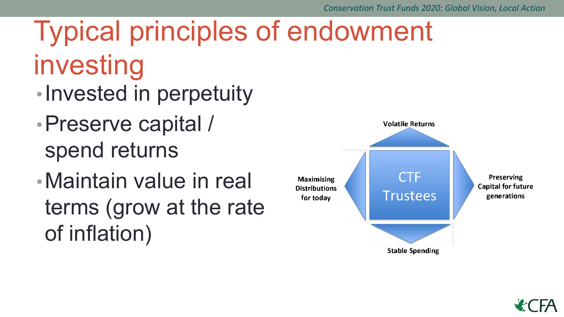## Typical principles of endowment investing

- •Invested in perpetuity
- •Preserve capital / spend returns
- •Maintain value in real terms (grow at the rate of inflation)



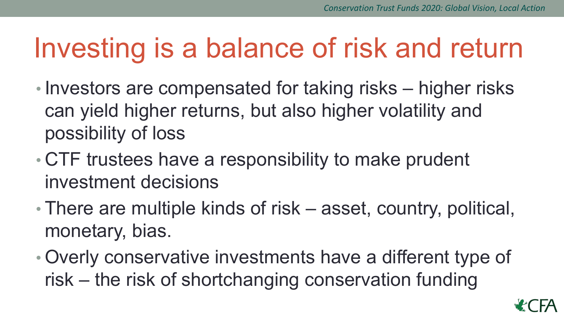## Investing is a balance of risk and return

- Investors are compensated for taking risks higher risks can yield higher returns, but also higher volatility and possibility of loss
- CTF trustees have a responsibility to make prudent investment decisions
- There are multiple kinds of risk asset, country, political, monetary, bias.
- Overly conservative investments have a different type of risk – the risk of shortchanging conservation funding

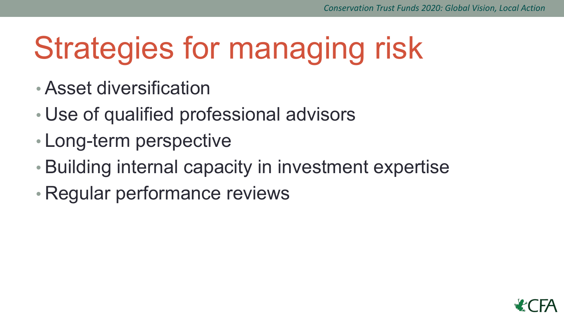## Strategies for managing risk

- Asset diversification
- Use of qualified professional advisors
- Long-term perspective
- Building internal capacity in investment expertise
- Regular performance reviews

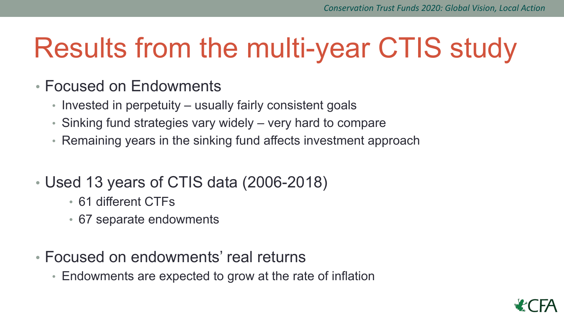## Results from the multi-year CTIS study

#### • Focused on Endowments

- Invested in perpetuity usually fairly consistent goals
- Sinking fund strategies vary widely very hard to compare
- Remaining years in the sinking fund affects investment approach

#### • Used 13 years of CTIS data (2006-2018)

- 61 different CTFs
- 67 separate endowments
- Focused on endowments' real returns
	- Endowments are expected to grow at the rate of inflation

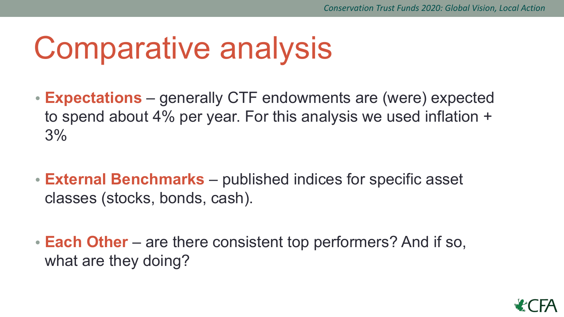## Comparative analysis

- **• Expectations** generally CTF endowments are (were) expected to spend about 4% per year. For this analysis we used inflation + 3%
- **• External Benchmarks**  published indices for specific asset classes (stocks, bonds, cash).
- **• Each Other** are there consistent top performers? And if so, what are they doing?

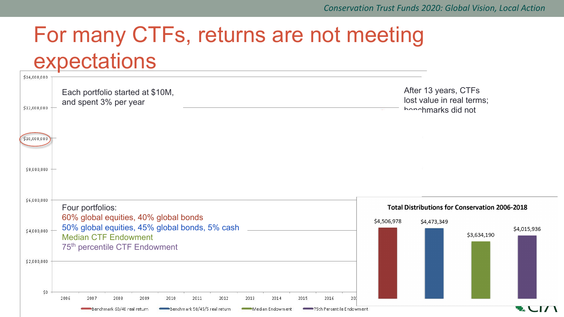### For many CTFs, returns are not meeting expectations

| \$14,000,000       |                                                                                                                                                                                                                  |             |
|--------------------|------------------------------------------------------------------------------------------------------------------------------------------------------------------------------------------------------------------|-------------|
| \$12,000,000       | After 13 years, CTFs<br>Each portfolio started at \$10M,<br>lost value in real terms;<br>and spent 3% per year<br>honohmarks did not                                                                             |             |
| \$10,000,000       |                                                                                                                                                                                                                  |             |
| \$8,000,000        |                                                                                                                                                                                                                  |             |
| \$6,000,000        | Four portfolios:<br><b>Total Distributions for Conservation 2006-2018</b>                                                                                                                                        |             |
| \$4,000,000        | 60% global equities, 40% global bonds<br>\$4,506,978<br>\$4,473,349<br>50% global equities, 45% global bonds, 5% cash<br>\$3,634,190<br><b>Median CTF Endowment</b><br>75 <sup>th</sup> percentile CTF Endowment | \$4,015,936 |
| \$2,000,000<br>\$0 | 2012<br>2006<br>2007<br>2008<br>2009<br>2010<br>2011<br>2013<br>2014<br>2015<br>2016<br>20                                                                                                                       |             |
|                    | Benchmark 60/40 real return<br>Benchmark 50/45/5 real return<br>75th Percentile Endowment<br>Median Endowment                                                                                                    |             |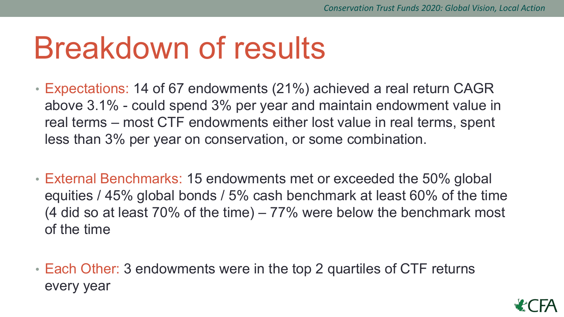## Breakdown of results

- Expectations: 14 of 67 endowments (21%) achieved a real return CAGR above 3.1% - could spend 3% per year and maintain endowment value in real terms – most CTF endowments either lost value in real terms, spent less than 3% per year on conservation, or some combination.
- External Benchmarks: 15 endowments met or exceeded the 50% global equities / 45% global bonds / 5% cash benchmark at least 60% of the time (4 did so at least 70% of the time) – 77% were below the benchmark most of the time
- Each Other: 3 endowments were in the top 2 quartiles of CTF returns every year

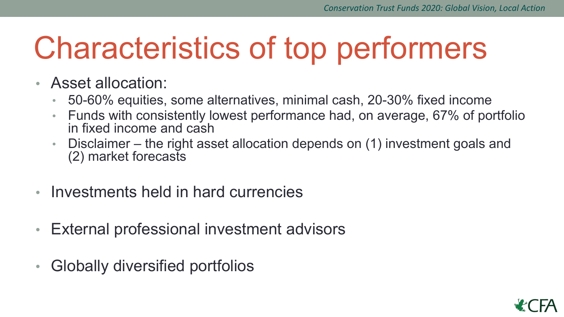## Characteristics of top performers

- Asset allocation:
	- 50-60% equities, some alternatives, minimal cash, 20-30% fixed income
	- Funds with consistently lowest performance had, on average, 67% of portfolio in fixed income and cash
	- Disclaimer the right asset allocation depends on (1) investment goals and (2) market forecasts
- Investments held in hard currencies
- External professional investment advisors
- Globally diversified portfolios